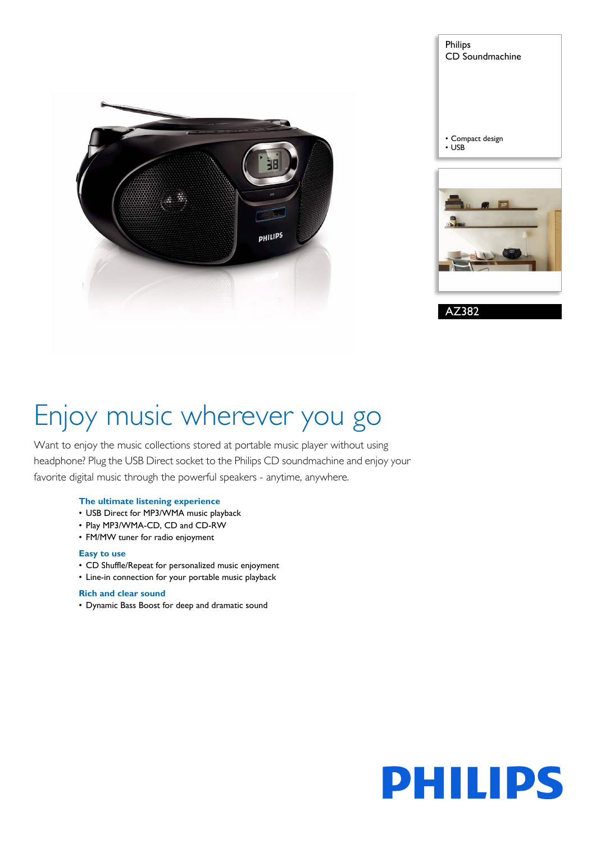

| Philips<br>CD Soundmachine                  |
|---------------------------------------------|
| • Compact design<br><b>USB</b><br>$\bullet$ |
| 幽<br>ob-                                    |
| AZ382                                       |

# Enjoy music wherever you go

Want to enjoy the music collections stored at portable music player without using headphone? Plug the USB Direct socket to the Philips CD soundmachine and enjoy your favorite digital music through the powerful speakers - anytime, anywhere.

### **The ultimate listening experience**

- USB Direct for MP3/WMA music playback
- Play MP3/WMA-CD, CD and CD-RW
- FM/MW tuner for radio enjoyment

### **Easy to use**

- CD Shuffle/Repeat for personalized music enjoyment
- Line-in connection for your portable music playback

### **Rich and clear sound**

• Dynamic Bass Boost for deep and dramatic sound